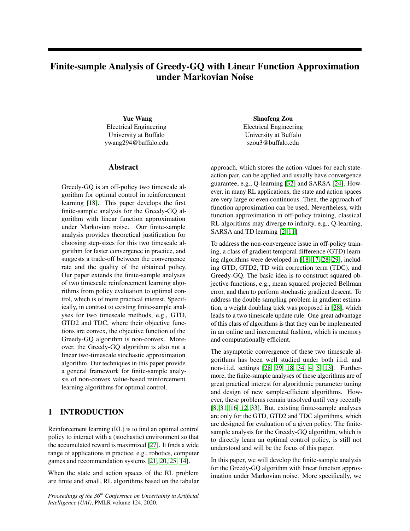# Finite-sample Analysis of Greedy-GQ with Linear Function Approximation under Markovian Noise

Yue Wang Electrical Engineering University at Buffalo ywang294@buffalo.edu

#### Abstract

Greedy-GQ is an off-policy two timescale algorithm for optimal control in reinforcement learning [\[18\]](#page-8-0). This paper develops the first finite-sample analysis for the Greedy-GQ algorithm with linear function approximation under Markovian noise. Our finite-sample analysis provides theoretical justification for choosing step-sizes for this two timescale algorithm for faster convergence in practice, and suggests a trade-off between the convergence rate and the quality of the obtained policy. Our paper extends the finite-sample analyses of two timescale reinforcement learning algorithms from policy evaluation to optimal control, which is of more practical interest. Specifically, in contrast to existing finite-sample analyses for two timescale methods, e.g., GTD, GTD2 and TDC, where their objective functions are convex, the objective function of the Greedy-GQ algorithm is non-convex. Moreover, the Greedy-GQ algorithm is also not a linear two-timescale stochastic approximation algorithm. Our techniques in this paper provide a general framework for finite-sample analysis of non-convex value-based reinforcement learning algorithms for optimal control.

# 1 INTRODUCTION

Reinforcement learning (RL) is to find an optimal control policy to interact with a (stochastic) environment so that the accumulated reward is maximized [\[27\]](#page-9-0). It finds a wide range of applications in practice, e.g., robotics, computer games and recommendation systems [\[21,](#page-9-1) [20,](#page-9-2) [25,](#page-9-3) [14\]](#page-8-1).

When the state and action spaces of the RL problem are finite and small, RL algorithms based on the tabular

*Proceedings of the 36th Conference on Uncertainty in Artificial Intelligence (UAI)*, PMLR volume 124, 2020.

Shaofeng Zou Electrical Engineering University at Buffalo szou3@buffalo.edu

approach, which stores the action-values for each stateaction pair, can be applied and usually have convergence guarantee, e.g., Q-learning [\[32\]](#page-9-4) and SARSA [\[24\]](#page-9-5). However, in many RL applications, the state and action spaces are very large or even continuous. Then, the approach of function approximation can be used. Nevertheless, with function approximation in off-policy training, classical RL algorithms may diverge to infinity, e.g., Q-learning, SARSA and TD learning [\[2,](#page-8-2) [11\]](#page-8-3).

To address the non-convergence issue in off-policy training, a class of gradient temporal difference (GTD) learning algorithms were developed in [\[18,](#page-8-0) [17,](#page-8-4) [28,](#page-9-6) [29\]](#page-9-7), including GTD, GTD2, TD with correction term (TDC), and Greedy-GQ. The basic idea is to construct squared objective functions, e.g., mean squared projected Bellman error, and then to perform stochastic gradient descent. To address the double sampling problem in gradient estimation, a weight doubling trick was proposed in [\[28\]](#page-9-6), which leads to a two timescale update rule. One great advantage of this class of algorithms is that they can be implemented in an online and incremental fashion, which is memory and computationally efficient.

The asymptotic convergence of these two timescale algorithms has been well studied under both i.i.d. and non-i.i.d. settings [\[28,](#page-9-6) [29,](#page-9-7) [18,](#page-8-0) [34,](#page-9-8) [4,](#page-8-5) [5,](#page-8-6) [13\]](#page-8-7). Furthermore, the finite-sample analyses of these algorithms are of great practical interest for algorithmic parameter tuning and design of new sample-efficient algorithms. However, these problems remain unsolved until very recently [\[8,](#page-8-8) [31,](#page-9-9) [16,](#page-8-9) [12,](#page-8-10) [33\]](#page-9-10). But, existing finite-sample analyses are only for the GTD, GTD2 and TDC algorithms, which are designed for evaluation of a given policy. The finitesample analysis for the Greedy-GQ algorithm, which is to directly learn an optimal control policy, is still not understood and will be the focus of this paper.

In this paper, we will develop the finite-sample analysis for the Greedy-GQ algorithm with linear function approximation under Markovian noise. More specifically, we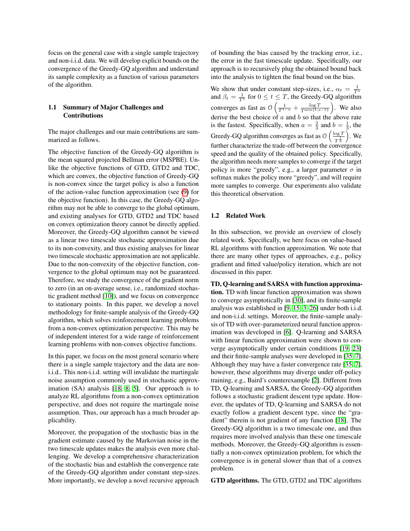focus on the general case with a single sample trajectory and non-i.i.d. data. We will develop explicit bounds on the convergence of the Greedy-GQ algorithm and understand its sample complexity as a function of various parameters of the algorithm.

## 1.1 Summary of Major Challenges and Contributions

The major challenges and our main contributions are summarized as follows.

The objective function of the Greedy-GQ algorithm is the mean squared projected Bellman error (MSPBE). Unlike the objective functions of GTD, GTD2 and TDC, which are convex, the objective function of Greedy-GQ is non-convex since the target policy is also a function of the action-value function approximation (see [\(9\)](#page-3-0) for the objective function). In this case, the Greedy-GQ algorithm may not be able to converge to the global optimum, and existing analyses for GTD, GTD2 and TDC based on convex optimization theory cannot be directly applied. Moreover, the Greedy-GQ algorithm cannot be viewed as a linear two timescale stochastic approximation due to its non-convexity, and thus existing analyses for linear two timescale stochastic approximation are not applicable. Due to the non-convexity of the objective function, convergence to the global optimum may not be guaranteed. Therefore, we study the convergence of the gradient norm to zero (in an on-average sense, i.e., randomized stochastic gradient method [\[10\]](#page-8-11)), and we focus on convergence to stationary points. In this paper, we develop a novel methodology for finite-sample analysis of the Greedy-GQ algorithm, which solves reinforcement learning problems from a non-convex optimization perspective. This may be of independent interest for a wide range of reinforcement learning problems with non-convex objective functions.

In this paper, we focus on the most general scenario where there is a single sample trajectory and the data are noni.i.d.. This non-i.i.d. setting will invalidate the martingale noise assumption commonly used in stochastic approximation (SA) analysis [\[18,](#page-8-0) [8,](#page-8-8) [5\]](#page-8-6). Our approach is to analyze RL algorithms from a non-convex optimization perspective, and does not require the martingale noise assumption. Thus, our approach has a much broader applicability.

Moreover, the propagation of the stochastic bias in the gradient estimate caused by the Markovian noise in the two timescale updates makes the analysis even more challenging. We develop a comprehensive characterization of the stochastic bias and establish the convergence rate of the Greedy-GQ algorithm under constant step-sizes. More importantly, we develop a novel recursive approach

of bounding the bias caused by the tracking error, i.e., the error in the fast timescale update. Specifically, our approach is to recursively plug the obtained bound back into the analysis to tighten the final bound on the bias.

We show that under constant step-sizes, i.e.,  $\alpha_t = \frac{1}{T^a}$ <br>and  $\beta_t = \frac{1}{T^b}$  for  $0 \le t \le T$ , the Greedy-GQ algorithm converges as fast as  $\mathcal{O}\left(\frac{1}{T^{1-a}} + \frac{\log T}{T^{\min\{b,a-b\}}}\right)$ . We also derive the best choice of  $a$  and  $b$  so that the above rate is the fastest. Specifically, when  $a = \frac{2}{3}$  and  $b = \frac{1}{3}$ , the Greedy-GQ algorithm converges as fast as  $\mathcal{O}\left(\frac{\log T}{1000}\right)$  $T^{\frac{1}{3}}$  $\big)$ . We further characterize the trade-off between the convergence speed and the quality of the obtained policy. Specifically, the algorithm needs more samples to converge if the target policy is more "greedy", e.g., a larger parameter  $\sigma$  in softmax makes the policy more "greedy", and will require more samples to converge. Our experiments also validate this theoretical observation.

#### 1.2 Related Work

In this subsection, we provide an overview of closely related work. Specifically, we here focus on value-based RL algorithms with function approximation. We note that there are many other types of approaches, e.g., policy gradient and fitted value/policy iteration, which are not discussed in this paper.

TD, Q-learning and SARSA with function approximation. TD with linear function approximation was shown to converge asymptotically in [\[30\]](#page-9-11), and its finite-sample analysis was established in [\[9,](#page-8-12) [15,](#page-8-13) [3,](#page-8-14) [26\]](#page-9-12) under both i.i.d. and non-i.i.d. settings. Moreover, the finite-sample analysis of TD with over–parameterized neural function approximation was developed in [\[6\]](#page-8-15). Q-learning and SARSA with linear function approximation were shown to converge asymptotically under certain conditions [\[19,](#page-9-13) [23\]](#page-9-14) and their finite-sample analyses were developed in [\[35,](#page-9-15) [7\]](#page-8-16). Although they may have a faster convergence rate [\[35,](#page-9-15) [7\]](#page-8-16), however, these algorithms may diverge under off-policy training, e.g., Baird's counterexample [\[2\]](#page-8-2). Different from TD, Q-learning and SARSA, the Greedy-GQ algorithm follows a stochastic gradient descent type update. However, the updates of TD, Q-learning and SARSA do not exactly follow a gradient descent type, since the "gradient" therein is not gradient of any function [\[18\]](#page-8-0). The Greedy-GQ algorithm is a two timescale one, and thus requires more involved analysis than these one timescale methods. Moreover, the Greedy-GQ algorithm is essentially a non-convex optimization problem, for which the convergence is in general slower than that of a convex problem.

GTD algorithms. The GTD, GTD2 and TDC algorithms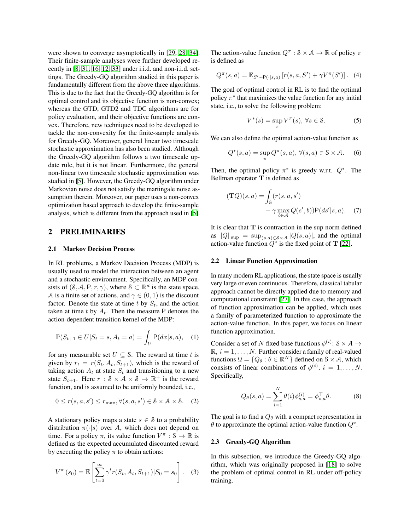were shown to converge asymptotically in [\[29,](#page-9-7) [28,](#page-9-6) [34\]](#page-9-8). Their finite-sample analyses were further developed recently in [\[8,](#page-8-8) [31,](#page-9-9) [16,](#page-8-9) [12,](#page-8-10) [33\]](#page-9-10) under i.i.d. and non-i.i.d. settings. The Greedy-GQ algorithm studied in this paper is fundamentally different from the above three algorithms. This is due to the fact that the Greedy-GQ algorithm is for optimal control and its objective function is non-convex; whereas the GTD, GTD2 and TDC algorithms are for policy evaluation, and their objective functions are convex. Therefore, new techniques need to be developed to tackle the non-convexity for the finite-sample analysis for Greedy-GQ. Moreover, general linear two timescale stochastic approximation has also been studied. Although the Greedy-GQ algorithm follows a two timescale update rule, but it is not linear. Furthermore, the general non-linear two timescale stochastic approximation was studied in [\[5\]](#page-8-6). However, the Greedy-GQ algorithm under Markovian noise does not satisfy the martingale noise assumption therein. Moreover, our paper uses a non-convex optimization based approach to develop the finite-sample analysis, which is different from the approach used in [\[5\]](#page-8-6).

# 2 PRELIMINARIES

#### 2.1 Markov Decision Process

In RL problems, a Markov Decision Process (MDP) is usually used to model the interaction between an agent and a stochastic environment. Specifically, an MDP consists of  $(S, A, P, r, \gamma)$ , where  $S \subset \mathbb{R}^d$  is the state space, A is a finite set of actions, and  $\gamma \in (0, 1)$  is the discount factor. Denote the state at time t by  $S_t$ , and the action taken at time t by  $A_t$ . Then the measure P denotes the action-dependent transition kernel of the MDP:

$$
\mathbb{P}(S_{t+1} \in U | S_t = s, A_t = a) = \int_U \mathsf{P}(dx | s, a), \quad (1)
$$

for any measurable set  $U \subseteq S$ . The reward at time t is given by  $r_t = r(S_t, A_t, S_{t+1})$ , which is the reward of taking action  $A_t$  at state  $S_t$  and transitioning to a new state  $S_{t+1}$ . Here  $r : \mathcal{S} \times \mathcal{A} \times \mathcal{S} \rightarrow \mathbb{R}^+$  is the reward function, and is assumed to be uniformly bounded, i.e.,

$$
0 \le r(s, a, s') \le r_{\max}, \forall (s, a, s') \in \mathcal{S} \times \mathcal{A} \times \mathcal{S}. \tag{2}
$$

A stationary policy maps a state  $s \in \mathcal{S}$  to a probability distribution  $\pi(\cdot|s)$  over A, which does not depend on time. For a policy  $\pi$ , its value function  $V^{\pi}$ :  $S \to \mathbb{R}$  is defined as the expected accumulated discounted reward by executing the policy  $\pi$  to obtain actions:

$$
V^{\pi}(s_0) = \mathbb{E}\left[\sum_{t=0}^{\infty} \gamma^t r(S_t, A_t, S_{t+1}) | S_0 = s_0\right].
$$
 (3)

The action-value function  $Q^{\pi}$  :  $S \times A \rightarrow \mathbb{R}$  of policy  $\pi$ is defined as

$$
Q^{\pi}(s, a) = \mathbb{E}_{S' \sim \mathsf{P}(\cdot | s, a)} [r(s, a, S') + \gamma V^{\pi}(S')] .
$$
 (4)

The goal of optimal control in RL is to find the optimal policy  $\pi^*$  that maximizes the value function for any initial state, i.e., to solve the following problem:

$$
V^*(s) = \sup_{\pi} V^{\pi}(s), \,\forall s \in \mathcal{S}.\tag{5}
$$

We can also define the optimal action-value function as

$$
Q^*(s, a) = \sup_{\pi} Q^{\pi}(s, a), \,\forall (s, a) \in \mathcal{S} \times \mathcal{A}.\tag{6}
$$

Then, the optimal policy  $\pi^*$  is greedy w.r.t.  $Q^*$ . The Bellman operator T is defined as

$$
(\mathbf{T}Q)(s,a) = \int_{\mathcal{S}} (r(s,a,s') + \gamma \max_{b \in \mathcal{A}} Q(s',b)) P(ds'|s,a). \quad (7)
$$

It is clear that  $T$  is contraction in the sup norm defined as  $||Q||_{\text{sup}} = \sup_{(s,a)\in S\times A} |Q(s,a)|$ , and the optimal action-value function  $\widetilde{Q}^*$  is the fixed point of T [\[22\]](#page-9-16).

#### 2.2 Linear Function Approximation

In many modern RL applications, the state space is usually very large or even continuous. Therefore, classical tabular approach cannot be directly applied due to memory and computational constraint [\[27\]](#page-9-0). In this case, the approach of function approximation can be applied, which uses a family of parameterized function to approximate the action-value function. In this paper, we focus on linear function approximation.

Consider a set of N fixed base functions  $\phi^{(i)}$ : S  $\times$  A  $\rightarrow$  $\mathbb{R}, i = 1, \ldots, N$ . Further consider a family of real-valued functions  $\mathcal{Q} = \{Q_{\theta} : \theta \in \mathbb{R}^N\}$  defined on  $\mathcal{S} \times \mathcal{A}$ , which consists of linear combinations of  $\phi^{(i)}$ ,  $i = 1, \dots, N$ . Specifically,

$$
Q_{\theta}(s, a) = \sum_{i=1}^{N} \theta(i) \phi_{s, a}^{(i)} = \phi_{s, a}^{\top} \theta.
$$
 (8)

The goal is to find a  $Q_{\theta}$  with a compact representation in  $\theta$  to approximate the optimal action-value function  $Q^*$ .

#### 2.3 Greedy-GQ Algorithm

In this subsection, we introduce the Greedy-GQ algorithm, which was originally proposed in [\[18\]](#page-8-0) to solve the problem of optimal control in RL under off-policy training.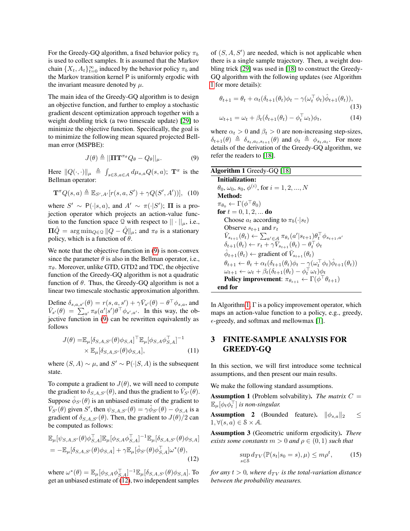For the Greedy-GO algorithm, a fixed behavior policy  $\pi_b$ is used to collect samples. It is assumed that the Markov chain  $\{X_t, A_t\}_{t=0}^{\infty}$  induced by the behavior policy  $\pi_b$  and the Markov transition kernel P is uniformly ergodic with the invariant measure denoted by  $\mu$ .

The main idea of the Greedy-GQ algorithm is to design an objective function, and further to employ a stochastic gradient descent optimization approach together with a weight doubling trick (a two timescale update) [\[29\]](#page-9-7) to minimize the objective function. Specifically, the goal is to minimize the following mean squared projected Bellman error (MSPBE):

$$
J(\theta) \triangleq ||\mathbf{\Pi} \mathbf{T}^{\pi_{\theta}} Q_{\theta} - Q_{\theta}||_{\mu}.
$$
 (9)

Here  $||Q(\cdot, \cdot)||_{\mu} \triangleq \int_{s \in \mathcal{S}, a \in \mathcal{A}} d\mu_{s,a} Q(s, a);$   $\mathbf{T}^{\pi}$  is the Bellman operator:

$$
\mathbf{T}^{\pi}Q(s,a) \triangleq \mathbb{E}_{S',A'}[r(s,a,S') + \gamma Q(S',A'))], \quad (10)
$$

where  $S' \sim P(\cdot|s, a)$ , and  $A' \sim \pi(\cdot|S')$ ;  $\Pi$  is a projection operator which projects an action-value function to the function space Q with respect to  $|| \cdot ||_{\mu}$ , i.e.,  $\Pi\hat{Q} = \arg \min_{Q \in \mathcal{Q}} ||Q - \hat{Q}||_{\mu}$ ; and  $\pi_{\theta}$  is a stationary policy, which is a function of  $\theta$ .

We note that the objective function in  $(9)$  is non-convex since the parameter  $\theta$  is also in the Bellman operator, i.e.,  $\pi_{\theta}$ . Moreover, unlike GTD, GTD2 and TDC, the objective function of the Greedy-GQ algorithm is not a quadratic function of  $\theta$ . Thus, the Greedy-GQ algorithm is not a linear two timescale stochastic approximation algorithm.

Define  $\delta_{s,a,s'}(\theta) = r(s,a,s') + \gamma \bar{V}_{s'}(\theta) - \theta^{\top} \phi_{s,a}$ , and  $\bar{V}_{s'}(\theta) = \sum_{a'} \pi_{\theta}(a'|s') \theta^{\top} \phi_{s',a'}$ . In this way, the objective function in [\(9\)](#page-3-0) can be rewritten equivalently as follows

$$
J(\theta) = \mathbb{E}_{\mu} [\delta_{S,A,S'}(\theta)\phi_{S,A}]^{\top} \mathbb{E}_{\mu} [\phi_{S,A}\phi_{S,A}^{\top}]^{-1}
$$
  
 
$$
\times \mathbb{E}_{\mu} [\delta_{S,A,S'}(\theta)\phi_{S,A}],
$$
 (11)

where  $(S, A) \sim \mu$ , and  $S' \sim P(\cdot | S, A)$  is the subsequent state.

To compute a gradient to  $J(\theta)$ , we will need to compute the gradient to  $\delta_{S,A,S'}(\theta)$ , and thus the gradient to  $\bar{V}_{S'}(\theta)$ . Suppose  $\hat{\phi}_{S'}(\theta)$  is an unbiased estimate of the gradient to  $\bar{V}_{S'}(\theta)$  given S', then  $\psi_{S,A,S'}(\theta) = \gamma \hat{\phi}_{S'}(\theta) - \phi_{S,A}$  is a gradient of  $\delta_{S,A,S'}(\theta)$ . Then, the gradient to  $J(\theta)/2$  can be computed as follows:

$$
\mathbb{E}_{\mu}[\psi_{S,A,S'}(\theta)\phi_{S,A}^{\top}]\mathbb{E}_{\mu}[\phi_{S,A}\phi_{S,A}^{\top}]^{-1}\mathbb{E}_{\mu}[\delta_{S,A,S'}(\theta)\phi_{S,A}]
$$
\n
$$
= -\mathbb{E}_{\mu}[\delta_{S,A,S'}(\theta)\phi_{S,A}] + \gamma \mathbb{E}_{\mu}[\hat{\phi}_{S'}(\theta)\phi_{S,A}^{\top}]\omega^*(\theta),
$$
\n(12)

where  $\omega^*(\theta) = \mathbb{E}_{\mu}[\phi_{S,A}\phi_{S,A}^{\top}]^{-1}\mathbb{E}_{\mu}[\delta_{S,A,S'}(\theta)\phi_{S,A}]$ . To get an unbiased estimate of [\(12\)](#page-3-1), two independent samples

of  $(S, A, S')$  are needed, which is not applicable when there is a single sample trajectory. Then, a weight doubling trick [\[29\]](#page-9-7) was used in [\[18\]](#page-8-0) to construct the Greedy-GQ algorithm with the following updates (see Algorithm [1](#page-3-2) for more details):

$$
\theta_{t+1} = \theta_t + \alpha_t (\delta_{t+1}(\theta_t)\phi_t - \gamma(\omega_t^\top \phi_t)\hat{\phi}_{t+1}(\theta_t)),
$$
\n(13)\n
$$
\omega_{t+1} = \omega_t + \beta_t (\delta_{t+1}(\theta_t) - \phi_t^\top \omega_t)\phi_t,
$$
\n(14)

where  $\alpha_t > 0$  and  $\beta_t > 0$  are non-increasing step-sizes,  $\delta_{t+1}(\theta) \triangleq \delta_{s_t,a_t,s_{t+1}}(\theta)$  and  $\phi_t \triangleq \phi_{s_t,a_t}$ . For more details of the derivation of the Greedy-GQ algorithm, we refer the readers to [\[18\]](#page-8-0).

<span id="page-3-2"></span><span id="page-3-0"></span>

| <b>Algorithm 1</b> Greedy-GQ [18]                                                                                                        |
|------------------------------------------------------------------------------------------------------------------------------------------|
| <b>Initialization:</b>                                                                                                                   |
| $\theta_0, \omega_0, s_0, \phi^{(i)}$ , for $i = 1, 2, , N$                                                                              |
| Method:                                                                                                                                  |
| $\pi_{\theta_0} \leftarrow \Gamma(\phi^\top \theta_0)$                                                                                   |
| for $t = 0, 1, 2, $ do                                                                                                                   |
| Choose $a_t$ according to $\pi_b(\cdot s_t)$                                                                                             |
| Observe $s_{t+1}$ and $r_t$                                                                                                              |
| $V_{s_{t+1}}(\theta_t) \leftarrow \sum_{a' \in \mathcal{A}} \pi_{\theta_t}(a' s_{t+1})\theta_t^{\top} \phi_{s_{t+1},a'}$                 |
| $\delta_{t+1}(\theta_t) \leftarrow r_t + \gamma \bar{V}_{s_{t+1}}(\theta_t) - \theta_t^{\top} \phi_t$                                    |
| $\phi_{t+1}(\theta_t) \leftarrow$ gradient of $\bar{V}_{s_{t+1}}(\theta_t)$                                                              |
| $\theta_{t+1} \leftarrow \theta_t + \alpha_t (\delta_{t+1}(\theta_t)\phi_t - \gamma(\omega_t^{\top} \phi_t) \hat{\phi}_{t+1}(\theta_t))$ |
| $\omega_{t+1} \leftarrow \omega_t + \beta_t(\delta_{t+1}(\theta_t) - \phi_t^{\top} \omega_t) \phi_t$                                     |
| Policy improvement: $\pi_{\theta_{t+1}} \leftarrow \Gamma(\phi^\top \theta_{t+1})$                                                       |
| end for                                                                                                                                  |

In Algorithm [1,](#page-3-2)  $\Gamma$  is a policy improvement operator, which maps an action-value function to a policy, e.g., greedy,  $\epsilon$ -greedy, and softmax and mellowmax [\[1\]](#page-8-17).

# 3 FINITE-SAMPLE ANALYSIS FOR GREEDY-GQ

In this section, we will first introduce some technical assumptions, and then present our main results.

We make the following standard assumptions.

**Assumption 1** (Problem solvability). *The matrix*  $C =$  $\mathbb{E}_{\mu}[\phi_t \bar{\phi_t^{\top}}]$  is non-singular.

**Assumption 2** (Bounded feature).  $\|\phi_{s,a}\|_2 \leq$  $1, \forall (s, a) \in \mathcal{S} \times \mathcal{A}.$ 

Assumption 3 (Geometric uniform ergodicity). *There exists some constants*  $m > 0$  *and*  $\rho \in (0, 1)$  *such that* 

$$
\sup_{s \in S} d_{TV}(\mathbb{P}(s_t|s_0 = s), \mu) \le m \rho^t, \tag{15}
$$

<span id="page-3-1"></span>*for any*  $t > 0$ *, where*  $d_{TV}$  *is the total-variation distance between the probability measures.*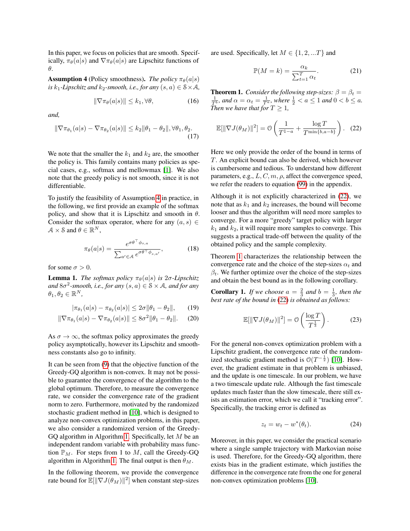In this paper, we focus on policies that are smooth. Specifically,  $\pi_{\theta}(a|s)$  and  $\nabla \pi_{\theta}(a|s)$  are Lipschitz functions of θ.

<span id="page-4-0"></span>**Assumption 4** (Policy smoothness). *The policy*  $\pi_{\theta}(a|s)$ *is*  $k_1$ -Lipschitz and  $k_2$ -smooth, i.e., for any  $(s, a) \in \mathcal{S} \times \mathcal{A}$ ,

$$
\|\nabla \pi_{\theta}(a|s)\| \le k_1, \forall \theta,\tag{16}
$$

*and,*

$$
\|\nabla \pi_{\theta_1}(a|s) - \nabla \pi_{\theta_2}(a|s)\| \le k_2 \|\theta_1 - \theta_2\|, \forall \theta_1, \theta_2.
$$
\n(17)

We note that the smaller the  $k_1$  and  $k_2$  are, the smoother the policy is. This family contains many policies as special cases, e.g., softmax and mellowmax [\[1\]](#page-8-17). We also note that the greedy policy is not smooth, since it is not differentiable.

To justify the feasibility of Assumption [4](#page-4-0) in practice, in the following, we first provide an example of the softmax policy, and show that it is Lipschitz and smooth in  $\theta$ . Consider the softmax operator, where for any  $(a, s) \in$  $A \times S$  and  $\theta \in \mathbb{R}^N$ ,

$$
\pi_{\theta}(a|s) = \frac{e^{\sigma \theta^{\top} \phi_{s,a}}}{\sum_{a' \in \mathcal{A}} e^{\sigma \theta^{\top} \phi_{s,a'}}},
$$
(18)

for some  $\sigma > 0$ .

<span id="page-4-4"></span>**Lemma 1.** *The softmax policy*  $\pi_{\theta}(a|s)$  *is* 2*σ*-Lipschitz and  $8\sigma^2$ -smooth, i.e., for any  $(s, a) \in S \times A$ , and for any  $\theta_1, \theta_2 \in \mathbb{R}^N$ ,

$$
|\pi_{\theta_1}(a|s) - \pi_{\theta_2}(a|s)| \le 2\sigma \|\theta_1 - \theta_2\|,\qquad(19)
$$

$$
\|\nabla \pi_{\theta_1}(a|s) - \nabla \pi_{\theta_2}(a|s)\| \le 8\sigma^2 \|\theta_1 - \theta_2\|. \tag{20}
$$

As  $\sigma \to \infty$ , the softmax policy approximates the greedy policy asymptotically, however its Lipschitz and smoothness constants also go to infinity.

It can be seen from [\(9\)](#page-3-0) that the objective function of the Greedy-GQ algorithm is non-convex. It may not be possible to guarantee the convergence of the algorithm to the global optimum. Therefore, to measure the convergence rate, we consider the convergence rate of the gradient norm to zero. Furthermore, motivated by the randomized stochastic gradient method in [\[10\]](#page-8-11), which is designed to analyze non-convex optimization problems, in this paper, we also consider a randomized version of the Greedy-GQ algorithm in Algorithm [1.](#page-3-2) Specifically, let M be an independent random variable with probability mass function  $\mathbb{P}_M$ . For steps from 1 to M, call the Greedy-GQ algorithm in Algorithm [1.](#page-3-2) The final output is then  $\theta_M$ .

In the following theorem, we provide the convergence rate bound for  $\mathbb{E}[\|\nabla J(\theta_M)\|^2]$  when constant step-sizes

are used. Specifically, let  $M \in \{1, 2, ...T\}$  and

<span id="page-4-3"></span><span id="page-4-1"></span>
$$
\mathbb{P}(M=k) = \frac{\alpha_k}{\sum_{t=1}^{T} \alpha_t}.
$$
 (21)

<span id="page-4-2"></span>**Theorem 1.** *Consider the following step-sizes:*  $\beta = \beta_t =$  $\frac{1}{T^b}$ *, and*  $\alpha = \alpha_t = \frac{1}{T^a}$ *, where*  $\frac{1}{2} < a \leq 1$  *and*  $0 < b \leq a$ *. Then we have that for*  $T \geq 1$ *,* 

$$
\mathbb{E}[\|\nabla J(\theta_M)\|^2] = \mathcal{O}\left(\frac{1}{T^{1-a}} + \frac{\log T}{T^{\min\{b, a-b\}}}\right). (22)
$$

Here we only provide the order of the bound in terms of T. An explicit bound can also be derived, which however is cumbersome and tedious. To understand how different parameters, e.g.,  $L, C, m, \rho$ , affect the convergence speed, we refer the readers to equation (99) in the appendix.

Although it is not explicitly characterized in [\(22\)](#page-4-1), we note that as  $k_1$  and  $k_2$  increases, the bound will become looser and thus the algorithm will need more samples to converge. For a more "greedy" target policy with larger  $k_1$  and  $k_2$ , it will require more samples to converge. This suggests a practical trade-off between the quality of the obtained policy and the sample complexity.

<span id="page-4-5"></span>Theorem [1](#page-4-2) characterizes the relationship between the convergence rate and the choice of the step-sizes  $\alpha_t$  and  $\beta_t$ . We further optimize over the choice of the step-sizes and obtain the best bound as in the following corollary.

**Corollary 1.** If we choose  $a = \frac{2}{3}$  and  $b = \frac{1}{3}$ , then the *best rate of the bound in* [\(22\)](#page-4-1) *is obtained as follows:*

$$
\mathbb{E}[\|\nabla J(\theta_M)\|^2] = \mathcal{O}\left(\frac{\log T}{T^{\frac{1}{3}}}\right). \tag{23}
$$

For the general non-convex optimization problem with a Lipschitz gradient, the convergence rate of the randomized stochastic gradient method is  $O(T^{-\frac{1}{2}})$  [\[10\]](#page-8-11). However, the gradient estimate in that problem is unbiased, and the update is one timescale. In our problem, we have a two timescale update rule. Although the fast timescale updates much faster than the slow timescale, there still exists an estimation error, which we call it "tracking error". Specifically, the tracking error is defined as

$$
z_t = w_t - w^*(\theta_t). \tag{24}
$$

Moreover, in this paper, we consider the practical scenario where a single sample trajectory with Markovian noise is used. Therefore, for the Greedy-GQ algorithm, there exists bias in the gradient estimate, which justifies the difference in the convergence rate from the one for general non-convex optimization problems [\[10\]](#page-8-11).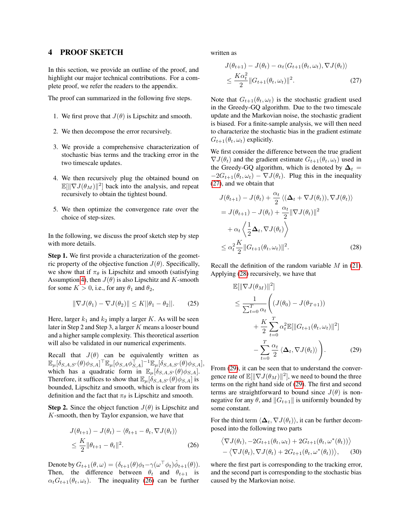# 4 PROOF SKETCH

In this section, we provide an outline of the proof, and highlight our major technical contributions. For a complete proof, we refer the readers to the appendix.

The proof can summarized in the following five steps.

- 1. We first prove that  $J(\theta)$  is Lipschitz and smooth.
- 2. We then decompose the error recursively.
- 3. We provide a comprehensive characterization of stochastic bias terms and the tracking error in the two timescale updates.
- 4. We then recursively plug the obtained bound on  $\mathbb{E}[\|\nabla J(\theta_M)\|^2]$  back into the analysis, and repeat recursively to obtain the tightest bound.
- 5. We then optimize the convergence rate over the choice of step-sizes.

In the following, we discuss the proof sketch step by step with more details.

Step 1. We first provide a characterization of the geometric property of the objective function  $J(\theta)$ . Specifically, we show that if  $\pi_{\theta}$  is Lipschitz and smooth (satisfying Assumption [4\)](#page-4-0), then  $J(\theta)$  is also Lipschitz and K-smooth for some  $K > 0$ , i.e., for any  $\theta_1$  and  $\theta_2$ ,

$$
\|\nabla J(\theta_1) - \nabla J(\theta_2)\| \le K ||\theta_1 - \theta_2||. \tag{25}
$$

Here, larger  $k_1$  and  $k_2$  imply a larger K. As will be seen later in Step 2 and Step 3, a larger K means a looser bound and a higher sample complexity. This theoretical assertion will also be validated in our numerical experiments.

Recall that  $J(\theta)$  can be equivalently written as  $\mathbb{E}_{\mu}[\delta_{S,A,S'}(\theta)\phi_{S,A}]^{\top}\mathbb{E}_{\mu}[\phi_{S,A}\phi_{S,A}^{\top}]^{-1}\mathbb{E}_{\mu}[\delta_{S,A,S'}(\theta)\phi_{S,A}],$ which has a quadratic form in  $\mathbb{E}_{\mu}[\delta_{S,A,S'}(\theta)\phi_{S,A}].$ Therefore, it suffices to show that  $\mathbb{E}_{\mu}[\delta_{S,A,S'}(\theta)\phi_{S,A}]$  is bounded, Lipschitz and smooth, which is clear from its definition and the fact that  $\pi_{\theta}$  is Lipschitz and smooth.

**Step 2.** Since the object function  $J(\theta)$  is Lipschitz and K-smooth, then by Taylor expansion, we have that

$$
J(\theta_{t+1}) - J(\theta_t) - \langle \theta_{t+1} - \theta_t, \nabla J(\theta_t) \rangle
$$
  
 
$$
\leq \frac{K}{2} \|\theta_{t+1} - \theta_t\|^2.
$$
 (26)

Denote by  $G_{t+1}(\theta,\omega) = (\delta_{t+1}(\theta)\phi_t - \gamma(\omega^\top \phi_t)\hat{\phi}_{t+1}(\theta)).$ Then, the difference between  $\theta_t$  and  $\theta_{t+1}$  is  $\alpha_t G_{t+1}(\theta_t, \omega_t)$ . The inequality [\(26\)](#page-5-0) can be further

written as

<span id="page-5-1"></span>
$$
J(\theta_{t+1}) - J(\theta_t) - \alpha_t \langle G_{t+1}(\theta_t, \omega_t), \nabla J(\theta_t) \rangle
$$
  
 
$$
\leq \frac{K\alpha_t^2}{2} ||G_{t+1}(\theta_t, \omega_t)||^2.
$$
 (27)

Note that  $G_{t+1}(\theta_t, \omega_t)$  is the stochastic gradient used in the Greedy-GQ algorithm. Due to the two timescale update and the Markovian noise, the stochastic gradient is biased. For a finite-sample analysis, we will then need to characterize the stochastic bias in the gradient estimate  $G_{t+1}(\theta_t, \omega_t)$  explicitly.

We first consider the difference between the true gradient  $\nabla J(\theta_t)$  and the gradient estimate  $G_{t+1}(\theta_t, \omega_t)$  used in the Greedy-GQ algorithm, which is denoted by  $\Delta_t$  =  $-2G_{t+1}(\theta_t, \omega_t) - \nabla J(\theta_t)$ . Plug this in the inequality [\(27\)](#page-5-1), and we obtain that

$$
J(\theta_{t+1}) - J(\theta_t) + \frac{\alpha_t}{2} \langle (\Delta_t + \nabla J(\theta_t)), \nabla J(\theta_t) \rangle
$$
  
=  $J(\theta_{t+1}) - J(\theta_t) + \frac{\alpha_t}{2} ||\nabla J(\theta_t)||^2$   
+  $\alpha_t \langle \frac{1}{2} \Delta_t, \nabla J(\theta_t) \rangle$   
 $\leq \alpha_t^2 \frac{K}{2} ||G_{t+1}(\theta_t, \omega_t)||^2.$  (28)

Recall the definition of the random variable  $M$  in [\(21\)](#page-4-3). Applying [\(28\)](#page-5-2) recursively, we have that

<span id="page-5-3"></span><span id="page-5-2"></span>
$$
\mathbb{E}[\|\nabla J(\theta_M)\|^2] \n\leq \frac{1}{\sum_{t=0}^T \alpha_t} \left( (J(\theta_0) - J(\theta_{T+1})) \n+ \frac{K}{2} \sum_{t=0}^T \alpha_t^2 \mathbb{E}[\|G_{t+1}(\theta_t, \omega_t)\|^2] \n- \sum_{t=0}^T \frac{\alpha_t}{2} \langle \Delta_t, \nabla J(\theta_t) \rangle \right).
$$
\n(29)

From [\(29\)](#page-5-3), it can be seen that to understand the convergence rate of  $\mathbb{E}[\|\nabla J(\theta_M)\|^2]$ , we need to bound the three terms on the right hand side of [\(29\)](#page-5-3). The first and second terms are straightforward to bound since  $J(\theta)$  is nonnegative for any  $\theta$ , and  $||G_{t+1}||$  is uniformly bounded by some constant.

<span id="page-5-0"></span>For the third term  $\langle \Delta_t, \nabla J(\theta_t) \rangle$ , it can be further decomposed into the following two parts

<span id="page-5-4"></span>
$$
\langle \nabla J(\theta_t), -2G_{t+1}(\theta_t, \omega_t) + 2G_{t+1}(\theta_t, \omega^*(\theta_t)) \rangle - \langle \nabla J(\theta_t), \nabla J(\theta_t) + 2G_{t+1}(\theta_t, \omega^*(\theta_t)) \rangle, \quad (30)
$$

where the first part is corresponding to the tracking error, and the second part is corresponding to the stochastic bias caused by the Markovian noise.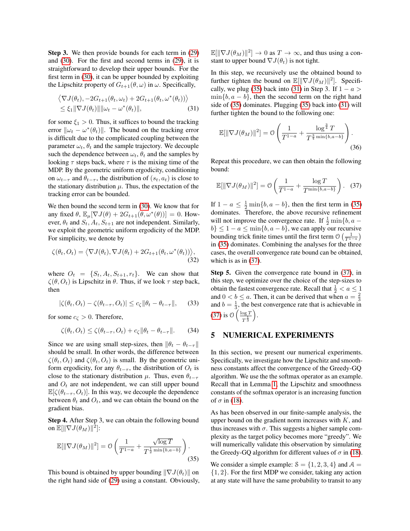Step 3. We then provide bounds for each term in [\(29\)](#page-5-3) and [\(30\)](#page-5-4). For the first and second terms in [\(29\)](#page-5-3), it is straightforward to develop their upper bounds. For the first term in [\(30\)](#page-5-4), it can be upper bounded by exploiting the Lipschitz property of  $G_{t+1}(\theta, \omega)$  in  $\omega$ . Specifically,

$$
\langle \nabla J(\theta_t), -2G_{t+1}(\theta_t, \omega_t) + 2G_{t+1}(\theta_t, \omega^*(\theta_t)) \rangle
$$
  

$$
\leq \xi_1 \|\nabla J(\theta_t)\| \|\omega_t - \omega^*(\theta_t)\|, \tag{31}
$$

for some  $\xi_1 > 0$ . Thus, it suffices to bound the tracking error  $\|\omega_t - \omega^*(\theta_t)\|$ . The bound on the tracking error is difficult due to the complicated coupling between the parameter  $\omega_t$ ,  $\theta_t$  and the sample trajectory. We decouple such the dependence between  $\omega_t$ ,  $\theta_t$  and the samples by looking  $\tau$  steps back, where  $\tau$  is the mixing time of the MDP. By the geometric uniform ergodicity, conditioning on  $\omega_{t-\tau}$  and  $\theta_{t-\tau}$ , the distribution of  $(s_t, a_t)$  is close to the stationary distribution  $\mu$ . Thus, the expectation of the tracking error can be bounded.

We then bound the second term in [\(30\)](#page-5-4). We know that for any fixed  $\theta$ ,  $\mathbb{E}_{\mu}[\nabla J(\theta) + 2G_{t+1}(\theta, \omega^*(\theta))] = 0$ . However,  $\theta_t$  and  $S_t$ ,  $A_t$ ,  $S_{t+1}$  are not independent. Similarly, we exploit the geometric uniform ergodicity of the MDP. For simplicity, we denote by

$$
\zeta(\theta_t, O_t) = \langle \nabla J(\theta_t), \nabla J(\theta_t) + 2G_{t+1}(\theta_t, \omega^*(\theta_t)) \rangle, \tag{32}
$$

where  $O_t = \{S_t, A_t, S_{t+1}, r_t\}$ . We can show that  $\zeta(\theta, O_t)$  is Lipschitz in  $\theta$ . Thus, if we look  $\tau$  step back, then

$$
|\zeta(\theta_t, O_t) - \zeta(\theta_{t-\tau}, O_t)| \le c_{\zeta} \|\theta_t - \theta_{t-\tau}\|,\qquad(33)
$$

for some  $c_{\zeta} > 0$ . Therefore,

$$
\zeta(\theta_t, O_t) \le \zeta(\theta_{t-\tau}, O_t) + c_{\zeta} \|\theta_t - \theta_{t-\tau}\|.
$$
 (34)

Since we are using small step-sizes, then  $\|\theta_t - \theta_{t-\tau}\|$ should be small. In other words, the difference between  $\zeta(\theta_t, O_t)$  and  $\zeta(\theta_t, O_t)$  is small. By the geometric uniform ergodicity, for any  $\theta_{t-\tau}$ , the distribution of  $O_t$  is close to the stationary distribution  $\mu$ . Thus, even  $\theta_{t-\tau}$ and  $O_t$  are not independent, we can still upper bound  $\mathbb{E}[\zeta(\theta_{t-\tau}, O_t)]$ . In this way, we decouple the dependence between  $\theta_t$  and  $O_t$ , and we can obtain the bound on the gradient bias.

Step 4. After Step 3, we can obtain the following bound on  $\mathbb{E}[\|\nabla J(\theta_M)\|^2]$ :

$$
\mathbb{E}[\|\nabla J(\theta_M)\|^2] = \mathcal{O}\left(\frac{1}{T^{1-a}} + \frac{\sqrt{\log T}}{T^{\frac{1}{2}\min\{b,a-b\}}}\right).
$$
\n(35)

This bound is obtained by upper bounding  $\|\nabla J(\theta_t)\|$  on the right hand side of [\(29\)](#page-5-3) using a constant. Obviously,

 $\mathbb{E}[\|\nabla J(\theta_M)\|^2] \to 0$  as  $T \to \infty$ , and thus using a constant to upper bound  $\nabla J(\theta_t)$  is not tight.

<span id="page-6-1"></span>In this step, we recursively use the obtained bound to further tighten the bound on  $\mathbb{E}[\|\nabla J(\theta_M)\|^2]$ . Specifi-cally, we plug [\(35\)](#page-6-0) back into [\(31\)](#page-6-1) in Step 3. If  $1 - a$  $\min\{b, a - b\}$ , then the second term on the right hand side of [\(35\)](#page-6-0) dominates. Plugging [\(35\)](#page-6-0) back into [\(31\)](#page-6-1) will further tighten the bound to the following one:

$$
\mathbb{E}[\|\nabla J(\theta_M)\|^2] = \mathcal{O}\left(\frac{1}{T^{1-a}} + \frac{\log^{\frac{3}{4}} T}{T^{\frac{3}{4}\min\{b,a-b\}}}\right).
$$
\n(36)

Repeat this procedure, we can then obtain the following bound:

<span id="page-6-2"></span>
$$
\mathbb{E}[\|\nabla J(\theta_M)\|^2] = \mathcal{O}\left(\frac{1}{T^{1-a}} + \frac{\log T}{T^{\min\{b, a-b\}}}\right). (37)
$$

If  $1 - a \leq \frac{1}{2} \min\{b, a - b\}$ , then the first term in [\(35\)](#page-6-0) dominates. Therefore, the above recursive refinement will not improve the convergence rate. If  $\frac{1}{2} \min\{b, a$  $b$ }  $\leq 1 - a \leq \min\{b, a - b\}$ , we can apply our recursive bounding trick finite times until the first term  $\mathcal{O}\left(\frac{1}{T^{1-a}}\right)$ in [\(35\)](#page-6-0) dominates. Combining the analyses for the three cases, the overall convergence rate bound can be obtained, which is as in  $(37)$ .

Step 5. Given the convergence rate bound in [\(37\)](#page-6-2), in this step, we optimize over the choice of the step-sizes to obtain the fastest convergence rate. Recall that  $\frac{1}{2} < a \leq 1$ and  $0 < b \le a$ . Then, it can be derived that when  $a = \frac{2}{3}$ and  $b = \frac{1}{3}$ , the best convergence rate that is achievable in [\(37\)](#page-6-2) is  $\mathcal{O}\left(\frac{\log T}{1}\right)$  $\overline{T^{\frac{1}{3}}}$ .

# 5 NUMERICAL EXPERIMENTS

In this section, we present our numerical experiments. Specifically, we investigate how the Lipschitz and smoothness constants affect the convergence of the Greedy-GQ algorithm. We use the the softmax operator as an example. Recall that in Lemma [1,](#page-4-4) the Lipschitz and smoothness constants of the softmax operator is an increasing function of  $\sigma$  in [\(18\)](#page-4-5).

As has been observed in our finite-sample analysis, the upper bound on the gradient norm increases with  $K$ , and thus increases with  $\sigma$ . This suggests a higher sample complexity as the target policy becomes more "greedy". We will numerically validate this observation by simulating the Greedy-GQ algorithm for different values of  $\sigma$  in [\(18\)](#page-4-5).

<span id="page-6-0"></span>We consider a simple example:  $S = \{1, 2, 3, 4\}$  and  $\mathcal{A} =$ {1, 2}. For the first MDP we consider, taking any action at any state will have the same probability to transit to any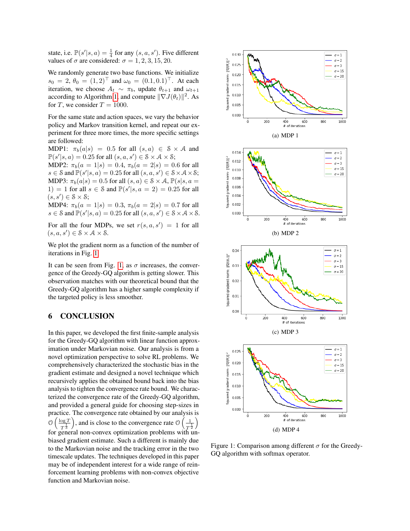state, i.e.  $\mathbb{P}(s'|s, a) = \frac{1}{4}$  for any  $(s, a, s')$ . Five different values of  $\sigma$  are considered:  $\sigma = 1, 2, 3, 15, 20$ .

We randomly generate two base functions. We initialize  $s_0 = 2, \theta_0 = (1, 2)^{\top}$  and  $\omega_0 = (0.1, 0.1)^{\top}$ . At each iteration, we choose  $A_t \sim \pi_b$ , update  $\theta_{t+1}$  and  $\omega_{t+1}$ according to Algorithm [1,](#page-3-2) and compute  $\|\nabla J(\theta_t)\|^2$ . As for T, we consider  $T = 1000$ .

For the same state and action spaces, we vary the behavior policy and Markov transition kernel, and repeat our experiment for three more times, the more specific settings are followed:

MDP1:  $\pi_b(a|s) = 0.5$  for all  $(s, a) \in S \times A$  and  $\mathbb{P}(s'|s, a) = 0.25$  for all  $(s, a, s') \in \mathcal{S} \times \mathcal{A} \times \mathcal{S}$ ;

MDP2:  $\pi_b(a = 1|s) = 0.4$ ,  $\pi_b(a = 2|s) = 0.6$  for all  $s \in \mathcal{S}$  and  $\mathbb{P}(s'|s, a) = 0.25$  for all  $(s, a, s') \in \mathcal{S} \times \mathcal{A} \times \mathcal{S}$ ; MDP3:  $\pi_b(a|s) = 0.5$  for all  $(s, a) \in \mathcal{S} \times \mathcal{A}$ ,  $\mathbb{P}(s|s, a =$ 1) = 1 for all  $s \in S$  and  $\mathbb{P}(s'|s, a = 2) = 0.25$  for all  $(s, s') \in \mathcal{S} \times \mathcal{S};$ 

MDP4:  $\pi_b(a = 1|s) = 0.3$ ,  $\pi_b(a = 2|s) = 0.7$  for all  $s \in \mathcal{S}$  and  $\mathbb{P}(s'|s, a) = 0.25$  for all  $(s, a, s') \in \mathcal{S} \times \mathcal{A} \times \mathcal{S}$ .

For all the four MDPs, we set  $r(s, a, s') = 1$  for all  $(s, a, s') \in \mathcal{S} \times \mathcal{A} \times \mathcal{S}.$ 

We plot the gradient norm as a function of the number of iterations in Fig. [1.](#page-7-0)

It can be seen from Fig. [1,](#page-7-0) as  $\sigma$  increases, the convergence of the Greedy-GQ algorithm is getting slower. This observation matches with our theoretical bound that the Greedy-GQ algorithm has a higher sample complexity if the targeted policy is less smoother.

### 6 CONCLUSION

In this paper, we developed the first finite-sample analysis for the Greedy-GQ algorithm with linear function approximation under Markovian noise. Our analysis is from a novel optimization perspective to solve RL problems. We comprehensively characterized the stochastic bias in the gradient estimate and designed a novel technique which recursively applies the obtained bound back into the bias analysis to tighten the convergence rate bound. We characterized the convergence rate of the Greedy-GQ algorithm, and provided a general guide for choosing step-sizes in practice. The convergence rate obtained by our analysis is  $\mathcal{O}\left(\frac{\log T}{1}\right)$  $T^{\frac{1}{3}}$ ), and is close to the convergence rate  $\mathcal{O}\left(\frac{1}{n}\right)$  $\overline{T^{\frac{1}{2}}}$  $\setminus$ for general non-convex optimization problems with unbiased gradient estimate. Such a different is mainly due to the Markovian noise and the tracking error in the two timescale updates. The techniques developed in this paper may be of independent interest for a wide range of reinforcement learning problems with non-convex objective function and Markovian noise.



<span id="page-7-0"></span>Figure 1: Comparison among different  $\sigma$  for the Greedy-GQ algorithm with softmax operator.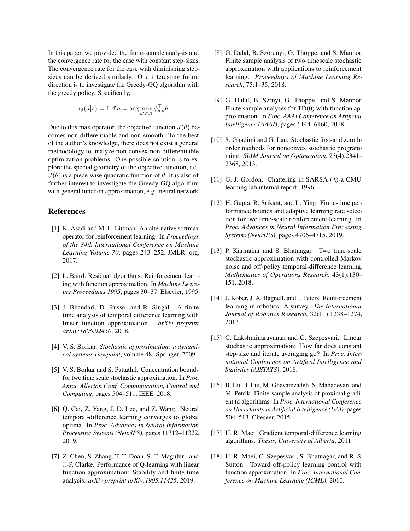In this paper, we provided the finite-sample analysis and the convergence rate for the case with constant step-sizes. The convergence rate for the case with diminishing stepsizes can be derived similarly. One interesting future direction is to investigate the Greedy-GQ algorithm with the greedy policy. Specifically,

$$
\pi_{\theta}(a|s) = 1 \text{ if } a = \arg \max_{a' \in \mathcal{A}} \phi_{s,a}^{\top} \theta.
$$

Due to this max operator, the objective function  $J(\theta)$  becomes non-differentiable and non-smooth. To the best of the author's knowledge, there does not exist a general methodology to analyze non-convex non-differentiable optimization problems. One possible solution is to explore the special geometry of the objective function, i.e.,  $J(\theta)$  is a piece-wise quadratic function of  $\theta$ . It is also of further interest to investigate the Greedy-GQ algorithm with general function approximation, e.g., neural network.

# References

- <span id="page-8-17"></span>[1] K. Asadi and M. L. Littman. An alternative softmax operator for reinforcement learning. In *Proceedings of the 34th International Conference on Machine Learning-Volume 70*, pages 243–252. JMLR. org, 2017.
- <span id="page-8-2"></span>[2] L. Baird. Residual algorithms: Reinforcement learning with function approximation. In *Machine Learning Proceedings 1995*, pages 30–37. Elsevier, 1995.
- <span id="page-8-14"></span>[3] J. Bhandari, D. Russo, and R. Singal. A finite time analysis of temporal difference learning with linear function approximation. *arXiv preprint arXiv:1806.02450*, 2018.
- <span id="page-8-5"></span>[4] V. S. Borkar. *Stochastic approximation: a dynamical systems viewpoint*, volume 48. Springer, 2009.
- <span id="page-8-6"></span>[5] V. S. Borkar and S. Pattathil. Concentration bounds for two time scale stochastic approximation. In *Proc. Annu. Allerton Conf. Communication, Control and Computing*, pages 504–511. IEEE, 2018.
- <span id="page-8-15"></span>[6] Q. Cai, Z. Yang, J. D. Lee, and Z. Wang. Neural temporal-difference learning converges to global optima. In *Proc. Advances in Neural Information Processing Systems (NeurIPS)*, pages 11312–11322, 2019.
- <span id="page-8-16"></span>[7] Z. Chen, S. Zhang, T. T. Doan, S. T. Maguluri, and J.-P. Clarke. Performance of Q-learning with linear function approximation: Stability and finite-time analysis. *arXiv preprint arXiv:1905.11425*, 2019.
- <span id="page-8-8"></span>[8] G. Dalal, B. Szörényi, G. Thoppe, and S. Mannor. Finite sample analysis of two-timescale stochastic approximation with applications to reinforcement learning. *Proceedings of Machine Learning Research*, 75:1–35, 2018.
- <span id="page-8-12"></span>[9] G. Dalal, B. Szrnyi, G. Thoppe, and S. Mannor. Finite sample analyses for TD(0) with function approximation. In *Proc. AAAI Conference on Artificial Intelligence (AAAI)*, pages 6144–6160, 2018.
- <span id="page-8-11"></span>[10] S. Ghadimi and G. Lan. Stochastic first-and zerothorder methods for nonconvex stochastic programming. *SIAM Journal on Optimization*, 23(4):2341– 2368, 2013.
- <span id="page-8-3"></span>[11] G. J. Gordon. Chattering in SARSA  $(\lambda)$ -a CMU learning lab internal report. 1996.
- <span id="page-8-10"></span>[12] H. Gupta, R. Srikant, and L. Ying. Finite-time performance bounds and adaptive learning rate selection for two time-scale reinforcement learning. In *Proc. Advances in Neural Information Processing Systems (NeurIPS)*, pages 4706–4715, 2019.
- <span id="page-8-7"></span>[13] P. Karmakar and S. Bhatnagar. Two time-scale stochastic approximation with controlled Markov noise and off-policy temporal-difference learning. *Mathematics of Operations Research*, 43(1):130– 151, 2018.
- <span id="page-8-1"></span>[14] J. Kober, J. A. Bagnell, and J. Peters. Reinforcement learning in robotics: A survey. *The International Journal of Robotics Research*, 32(11):1238–1274, 2013.
- <span id="page-8-13"></span>[15] C. Lakshminarayanan and C. Szepesvari. Linear stochastic approximation: How far does constant step-size and iterate averaging go? In *Proc. International Conference on Artifical Intelligence and Statistics (AISTATS)*, 2018.
- <span id="page-8-9"></span>[16] B. Liu, J. Liu, M. Ghavamzadeh, S. Mahadevan, and M. Petrik. Finite-sample analysis of proximal gradient td algorithms. In *Proc. International Conference on Uncertainty in Artificial Intelligence (UAI)*, pages 504–513. Citeseer, 2015.
- <span id="page-8-4"></span>[17] H. R. Maei. Gradient temporal-difference learning algorithms. *Thesis, University of Alberta*, 2011.
- <span id="page-8-0"></span>[18] H. R. Maei, C. Szepesvári, S. Bhatnagar, and R. S. Sutton. Toward off-policy learning control with function approximation. In *Proc. International Conference on Machine Learning (ICML)*, 2010.